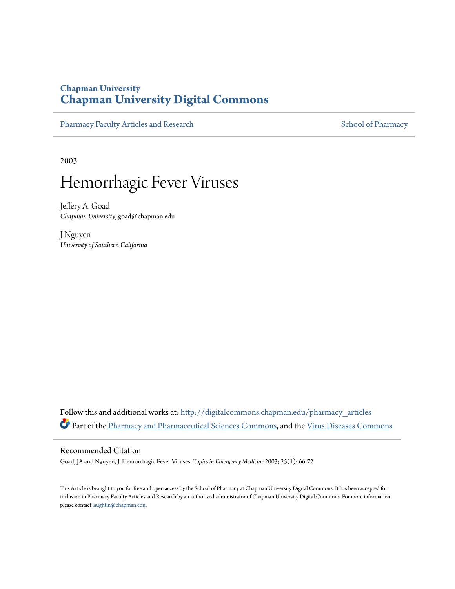## **Chapman University [Chapman University Digital Commons](http://digitalcommons.chapman.edu?utm_source=digitalcommons.chapman.edu%2Fpharmacy_articles%2F2&utm_medium=PDF&utm_campaign=PDFCoverPages)**

[Pharmacy Faculty Articles and Research](http://digitalcommons.chapman.edu/pharmacy_articles?utm_source=digitalcommons.chapman.edu%2Fpharmacy_articles%2F2&utm_medium=PDF&utm_campaign=PDFCoverPages) [School of Pharmacy](http://digitalcommons.chapman.edu/cusp?utm_source=digitalcommons.chapman.edu%2Fpharmacy_articles%2F2&utm_medium=PDF&utm_campaign=PDFCoverPages) School of Pharmacy

2003

# Hemorrhagic Fever Viruses

Jeffery A. Goad *Chapman University*, goad@chapman.edu

J Nguyen *Univeristy of Southern California*

Follow this and additional works at: [http://digitalcommons.chapman.edu/pharmacy\\_articles](http://digitalcommons.chapman.edu/pharmacy_articles?utm_source=digitalcommons.chapman.edu%2Fpharmacy_articles%2F2&utm_medium=PDF&utm_campaign=PDFCoverPages) Part of the [Pharmacy and Pharmaceutical Sciences Commons](http://network.bepress.com/hgg/discipline/731?utm_source=digitalcommons.chapman.edu%2Fpharmacy_articles%2F2&utm_medium=PDF&utm_campaign=PDFCoverPages), and the [Virus Diseases Commons](http://network.bepress.com/hgg/discipline/998?utm_source=digitalcommons.chapman.edu%2Fpharmacy_articles%2F2&utm_medium=PDF&utm_campaign=PDFCoverPages)

## Recommended Citation

Goad, JA and Nguyen, J. Hemorrhagic Fever Viruses. *Topics in Emergency Medicine* 2003; 25(1): 66-72

This Article is brought to you for free and open access by the School of Pharmacy at Chapman University Digital Commons. It has been accepted for inclusion in Pharmacy Faculty Articles and Research by an authorized administrator of Chapman University Digital Commons. For more information, please contact [laughtin@chapman.edu.](mailto:laughtin@chapman.edu)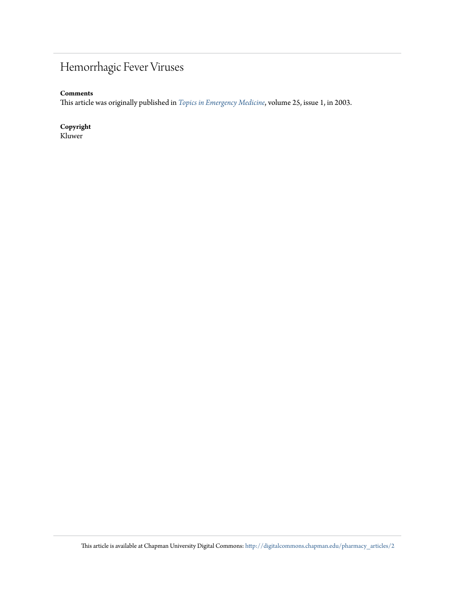## Hemorrhagic Fever Viruses

## **Comments**

This article was originally published in *[Topics in Emergency Medicine](http://www.nursingcenter.com/lnc/JournalArticle?Article_ID=462760&Journal_ID=420955&Issue_ID=420957)*, volume 25, issue 1, in 2003.

## **Copyright**

Kluwer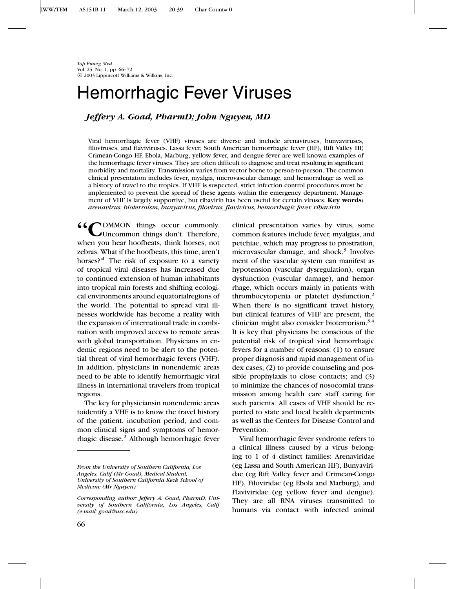*Top Emerg Med* Vol. 25, No. 1, pp. 66–72 c 2003 Lippincott Williams & Wilkins, Inc.

## Hemorrhagic Fever Viruses

## *Jeffery A. Goad, PharmD; John Nguyen, MD*

Viral hemorrhagic fever (VHF) viruses are diverse and include arenaviruses, bunyaviruses, filoviruses, and flaviviruses. Lassa fever, South American hemorrhagic fever (HF), Rift Valley HF, Crimean-Congo HF, Ebola, Marburg, yellow fever, and dengue fever are well known examples of the hemorrhagic fever viruses. They are often difficult to diagnose and treat resulting in significant morbidity and mortality. Transmission varies from vector borne to person-to-person. The common clinical presentation includes fever, myalgia, microvascular damage, and hemorrahage as well as a history of travel to the tropics. If VHF is suspected, strict infection control procedures must be implemented to prevent the spread of these agents within the emergency department. Management of VHF is largely supportive, but ribavirin has been useful for certain viruses. **Key words:** *arenavirus, bioterroism, bunyavirus, filovirus, flavivirus, hemorrhagic fever, ribavirin*

**POMMON** things occur commonly. Uncommon things don't. Therefore, when you hear hoofbeats, think horses, not zebras. What if the hoofbeats, this time, aren't horses?"<sup>1</sup> The risk of exposure to a variety of tropical viral diseases has increased due to continued extension of human inhabitants into tropical rain forests and shifting ecological environments around equatorialregions of the world. The potential to spread viral illnesses worldwide has become a reality with the expansion of international trade in combination with improved access to remote areas with global transportation. Physicians in endemic regions need to be alert to the potential threat of viral hemorrhagic fevers (VHF). In addition, physicians in nonendemic areas need to be able to identify hemorrhagic viral illness in international travelers from tropical regions.

The key for physiciansin nonendemic areas toidentify a VHF is to know the travel history of the patient, incubation period, and common clinical signs and symptoms of hemorrhagic disease.2 Although hemorrhagic fever clinical presentation varies by virus, some common features include fever, myalgias, and petchiae, which may progress to prostration, microvascular damage, and shock. $3$  Involvement of the vascular system can manifest as hypotension (vascular dysregulation), organ dysfunction (vascular damage), and hemorrhage, which occurs mainly in patients with thrombocytopenia or platelet dysfunction.2 When there is no significant travel history, but clinical features of VHF are present, the clinician might also consider bioterrorism.3,4 It is key that physicians be conscious of the potential risk of tropical viral hemorrhagic fevers for a number of reasons: (1) to ensure proper diagnosis and rapid management of index cases; (2) to provide counseling and possible prophylaxis to close contacts; and (3) to minimize the chances of nosocomial transmission among health care staff caring for such patients. All cases of VHF should be reported to state and local health departments as well as the Centers for Disease Control and Prevention.

Viral hemorrhagic fever syndrome refers to a clinical illness caused by a virus belonging to 1 of 4 distinct families: Arenaviridae (eg Lassa and South American HF), Bunyaviridae (eg Rift Valley fever and Crimean-Congo HF), Filoviridae (eg Ebola and Marburg), and Flaviviridae (eg yellow fever and dengue). They are all RNA viruses transmitted to humans via contact with infected animal

*From the University of Southern California, Los Angeles, Calif (Mr Goad), Medical Student, University of Southern California Keck School of Medicine (Mr Nguyen)*

*Corresponding author: Jeffery A. Goad, PharmD, University of Southern California, Los Angeles, Calif (e-mail: goad@usc.edu).*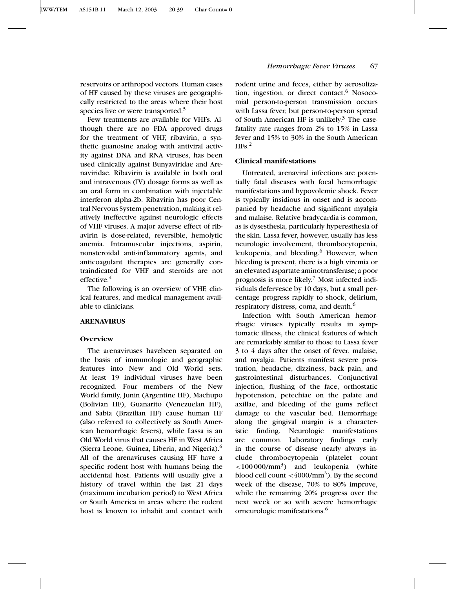reservoirs or arthropod vectors. Human cases of HF caused by these viruses are geographically restricted to the areas where their host species live or were transported.<sup>5</sup>

Few treatments are available for VHFs. Although there are no FDA approved drugs for the treatment of VHF, ribavirin, a synthetic guanosine analog with antiviral activity against DNA and RNA viruses, has been used clinically against Bunyaviridae and Arenaviridae. Ribavirin is available in both oral and intravenous (IV) dosage forms as well as an oral form in combination with injectable interferon alpha-2b. Ribavirin has poor Central Nervous System penetration, making it relatively ineffective against neurologic effects of VHF viruses. A major adverse effect of ribavirin is dose-related, reversible, hemolytic anemia. Intramuscular injections, aspirin, nonsteroidal anti-inflammatory agents, and anticoagulant therapies are generally contraindicated for VHF and steroids are not effective.<sup>4</sup>

The following is an overview of VHF, clinical features, and medical management available to clinicians.

#### **ARENAVIRUS**

#### **Overview**

The arenaviruses havebeen separated on the basis of immunologic and geographic features into New and Old World sets. At least 19 individual viruses have been recognized. Four members of the New World family, Junin (Argentine HF), Machupo (Bolivian HF), Guanarito (Venezuelan HF), and Sabia (Brazilian HF) cause human HF (also referred to collectively as South American hemorrhagic fevers), while Lassa is an Old World virus that causes HF in West Africa (Sierra Leone, Guinea, Liberia, and Nigeria).6 All of the arenaviruses causing HF have a specific rodent host with humans being the accidental host. Patients will usually give a history of travel within the last 21 days (maximum incubation period) to West Africa or South America in areas where the rodent host is known to inhabit and contact with rodent urine and feces, either by aerosolization, ingestion, or direct contact.<sup>6</sup> Nosocomial person-to-person transmission occurs with Lassa fever, but person-to-person spread of South American HF is unlikely.<sup>3</sup> The casefatality rate ranges from 2% to 15% in Lassa fever and 15% to 30% in the South American  $HFs.<sup>2</sup>$ 

## **Clinical manifestations**

Untreated, arenaviral infections are potentially fatal diseases with focal hemorrhagic manifestations and hypovolemic shock. Fever is typically insidious in onset and is accompanied by headache and significant myalgia and malaise. Relative bradycardia is common, as is dysesthesia, particularly hyperesthesia of the skin. Lassa fever, however, usually has less neurologic involvement, thrombocytopenia, leukopenia, and bleeding.<sup>6</sup> However, when bleeding is present, there is a high viremia or an elevated aspartate aminotransferase; a poor prognosis is more likely.7 Most infected individuals defervesce by 10 days, but a small percentage progress rapidly to shock, delirium, respiratory distress, coma, and death.6

Infection with South American hemorrhagic viruses typically results in symptomatic illness, the clinical features of which are remarkably similar to those to Lassa fever 3 to 4 days after the onset of fever, malaise, and myalgia. Patients manifest severe prostration, headache, dizziness, back pain, and gastrointestinal disturbances. Conjunctival injection, flushing of the face, orthostatic hypotension, petechiae on the palate and axillae, and bleeding of the gums reflect damage to the vascular bed. Hemorrhage along the gingival margin is a characteristic finding. Neurologic manifestations are common. Laboratory findings early in the course of disease nearly always include thrombocytopenia (platelet count  $\langle 100000/mm^3 \rangle$  and leukopenia (white blood cell count  $\langle 4000/\text{mm}^3 \rangle$ . By the second week of the disease, 70% to 80% improve, while the remaining 20% progress over the next week or so with severe hemorrhagic orneurologic manifestations.6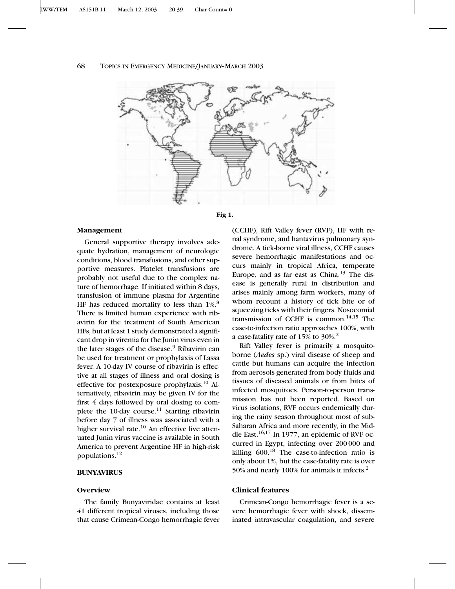## 68 TOPICS IN EMERGENCY MEDICINE/JANUARY–MARCH 2003





#### **Management**

General supportive therapy involves adequate hydration, management of neurologic conditions, blood transfusions, and other supportive measures. Platelet transfusions are probably not useful due to the complex nature of hemorrhage. If initiated within 8 days, transfusion of immune plasma for Argentine HF has reduced mortality to less than 1%.<sup>8</sup> There is limited human experience with ribavirin for the treatment of South American HFs, but at least 1 study demonstrated a significant drop in viremia for the Junin virus even in the later stages of the disease.<sup>9</sup> Ribavirin can be used for treatment or prophylaxis of Lassa fever. A 10-day IV course of ribavirin is effective at all stages of illness and oral dosing is effective for postexposure prophylaxis.10 Alternatively, ribavirin may be given IV for the first 4 days followed by oral dosing to complete the 10-day course.<sup>11</sup> Starting ribavirin before day 7 of illness was associated with a higher survival rate. $10$  An effective live attenuated Junin virus vaccine is available in South America to prevent Argentine HF in high-risk populations. $^{12}$ 

## **BUNYAVIRUS**

## **Overview**

The family Bunyaviridae contains at least 41 different tropical viruses, including those that cause Crimean-Congo hemorrhagic fever (CCHF), Rift Valley fever (RVF), HF with renal syndrome, and hantavirus pulmonary syndrome. A tick-borne viral illness, CCHF causes severe hemorrhagic manifestations and occurs mainly in tropical Africa, temperate Europe, and as far east as China. $13$  The disease is generally rural in distribution and arises mainly among farm workers, many of whom recount a history of tick bite or of squeezing ticks with their fingers. Nosocomial transmission of CCHF is common.14,15 The case-to-infection ratio approaches 100%, with a case-fatality rate of 15% to 30%.2

Rift Valley fever is primarily a mosquitoborne (*Aedes* sp.) viral disease of sheep and cattle but humans can acquire the infection from aerosols generated from body fluids and tissues of diseased animals or from bites of infected mosquitoes. Person-to-person transmission has not been reported. Based on virus isolations, RVF occurs endemically during the rainy season throughout most of sub-Saharan Africa and more recently, in the Middle East. $16,17$  In 1977, an epidemic of RVF occurred in Egypt, infecting over 200 000 and killing  $600<sup>18</sup>$  The case-to-infection ratio is only about 1%, but the case-fatality rate is over 50% and nearly 100% for animals it infects.2

## **Clinical features**

Crimean-Congo hemorrhagic fever is a severe hemorrhagic fever with shock, disseminated intravascular coagulation, and severe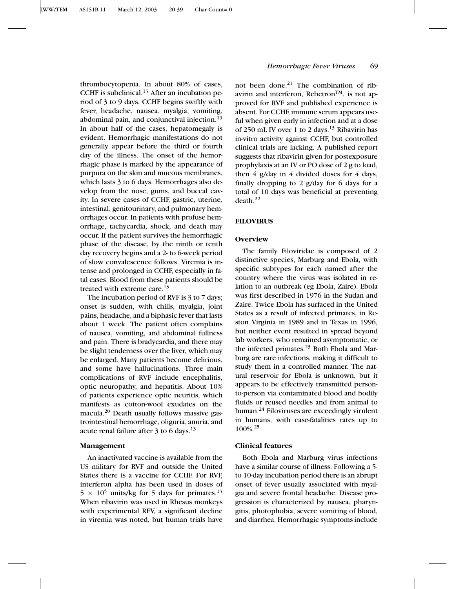thrombocytopenia. In about 80% of cases, CCHF is subclinical. $13$  After an incubation period of 3 to 9 days, CCHF begins swiftly with fever, headache, nausea, myalgia, vomiting, abdominal pain, and conjunctival injection.<sup>19</sup> In about half of the cases, hepatomegaly is evident. Hemorrhagic manifestations do not generally appear before the third or fourth day of the illness. The onset of the hemorrhagic phase is marked by the appearance of purpura on the skin and mucous membranes, which lasts 3 to 6 days. Hemorrhages also develop from the nose, gums, and buccal cavity. In severe cases of CCHF, gastric, uterine, intestinal, genitourinary, and pulmonary hemorrhages occur. In patients with profuse hemorrhage, tachycardia, shock, and death may occur. If the patient survives the hemorrhagic phase of the disease, by the ninth or tenth day recovery begins and a 2- to 6-week period of slow convalescence follows. Viremia is intense and prolonged in CCHF, especially in fatal cases. Blood from these patients should be treated with extreme care.<sup>13</sup>

The incubation period of RVF is 3 to 7 days; onset is sudden, with chills, myalgia, joint pains, headache, and a biphasic fever that lasts about 1 week. The patient often complains of nausea, vomiting, and abdominal fullness and pain. There is bradycardia, and there may be slight tenderness over the liver, which may be enlarged. Many patients become delirious, and some have hallucinations. Three main complications of RVF include encephalitis, optic neuropathy, and hepatitis. About 10% of patients experience optic neuritis, which manifests as cotton-wool exudates on the macula.<sup>20</sup> Death usually follows massive gastrointestinal hemorrhage, oliguria, anuria, and acute renal failure after  $3$  to 6 days.<sup>13</sup>

## **Management**

An inactivated vaccine is available from the US military for RVF and outside the United States there is a vaccine for CCHF. For RVF, interferon alpha has been used in doses of  $5 \times 10^5$  units/kg for 5 days for primates.<sup>13</sup> When ribavirin was used in Rhesus monkeys with experimental RFV, a significant decline in viremia was noted, but human trials have

## *Hemorrhagic Fever Viruses* 69

not been done. $21$  The combination of ribavirin and interferon, Rebetron<sup>TM</sup>, is not approved for RVF and published experience is absent. For CCHF, immune serum appears useful when given early in infection and at a dose of 250 mL IV over 1 to 2 days.<sup>13</sup> Ribavirin has in-vitro activity against CCHF, but controlled clinical trials are lacking. A published report suggests that ribavirin given for postexposure prophylaxis at an IV or PO dose of 2 g to load, then  $4 \frac{\text{g}}{\text{day}}$  in  $4 \frac{\text{divided}}{\text{does}}$  for  $4 \frac{\text{days}}{\text{day}}$ , finally dropping to 2 g/day for 6 days for a total of 10 days was beneficial at preventing  $death.<sup>22</sup>$ 

## **FILOVIRUS**

#### **Overview**

The family Filoviridae is composed of 2 distinctive species, Marburg and Ebola, with specific subtypes for each named after the country where the virus was isolated in relation to an outbreak (eg Ebola, Zaire). Ebola was first described in 1976 in the Sudan and Zaire. Twice Ebola has surfaced in the United States as a result of infected primates, in Reston Virginia in 1989 and in Texas in 1996, but neither event resulted in spread beyond lab workers, who remained asymptomatic, or the infected primates.<sup>23</sup> Both Ebola and Marburg are rare infections, making it difficult to study them in a controlled manner. The natural reservoir for Ebola is unknown, but it appears to be effectively transmitted personto-person via contaminated blood and bodily fluids or reused needles and from animal to human.<sup>24</sup> Filoviruses are exceedingly virulent in humans, with case-fatalities rates up to 100%.25

## **Clinical features**

Both Ebola and Marburg virus infections have a similar course of illness. Following a 5 to 10-day incubation period there is an abrupt onset of fever usually associated with myalgia and severe frontal headache. Disease progression is characterized by nausea, pharyngitis, photophobia, severe vomiting of blood, and diarrhea. Hemorrhagic symptoms include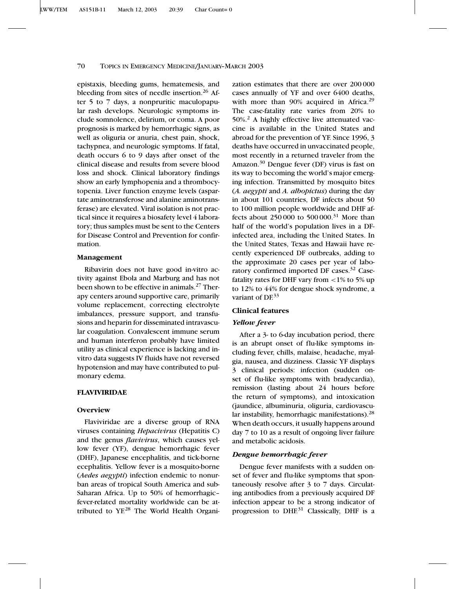### 70 TOPICS IN EMERGENCY MEDICINE/JANUARY–MARCH 2003

epistaxis, bleeding gums, hematemesis, and bleeding from sites of needle insertion.<sup>26</sup> After 5 to 7 days, a nonpruritic maculopapular rash develops. Neurologic symptoms include somnolence, delirium, or coma. A poor prognosis is marked by hemorrhagic signs, as well as oliguria or anuria, chest pain, shock, tachypnea, and neurologic symptoms. If fatal, death occurs 6 to 9 days after onset of the clinical disease and results from severe blood loss and shock. Clinical laboratory findings show an early lymphopenia and a thrombocytopenia. Liver function enzyme levels (aspartate aminotransferose and alanine aminotransferase) are elevated. Viral isolation is not practical since it requires a biosafety level 4 laboratory; thus samples must be sent to the Centers for Disease Control and Prevention for confirmation.

### **Management**

Ribavirin does not have good in-vitro activity against Ebola and Marburg and has not been shown to be effective in animals.<sup>27</sup> Therapy centers around supportive care, primarily volume replacement, correcting electrolyte imbalances, pressure support, and transfusions and heparin for disseminated intravascular coagulation. Convalescent immune serum and human interferon probably have limited utility as clinical experience is lacking and invitro data suggests IV fluids have not reversed hypotension and may have contributed to pulmonary edema.

## **FLAVIVIRIDAE**

### **Overview**

Flaviviridae are a diverse group of RNA viruses containing *Hepacivirus* (Hepatitis C) and the genus *flavivirus*, which causes yellow fever (YF), dengue hemorrhagic fever (DHF), Japanese encephalitis, and tick-borne ecephalitis. Yellow fever is a mosquito-borne (*Aedes aegypti*) infection endemic to nonurban areas of tropical South America and sub-Saharan Africa. Up to 50% of hemorrhagic– fever-related mortality worldwide can be attributed to YF.<sup>28</sup> The World Health Organization estimates that there are over 200 000 cases annually of YF and over 6400 deaths, with more than 90% acquired in Africa. $29$ The case-fatality rate varies from 20% to  $50\%$ <sup>2</sup> A highly effective live attenuated vaccine is available in the United States and abroad for the prevention of YF. Since 1996, 3 deaths have occurred in unvaccinated people, most recently in a returned traveler from the Amazon.30 Dengue fever (DF) virus is fast on its way to becoming the world's major emerging infection. Transmitted by mosquito bites (*A. aegypti* and *A. albopictus*) during the day in about 101 countries, DF infects about 50 to 100 million people worldwide and DHF affects about 250 000 to 500 000.<sup>31</sup> More than half of the world's population lives in a DFinfected area, including the United States. In the United States, Texas and Hawaii have recently experienced DF outbreaks, adding to the approximate 20 cases per year of laboratory confirmed imported DF cases.<sup>32</sup> Casefatality rates for DHF vary from <1% to 5% up to 12% to 44% for dengue shock syndrome, a variant of DF.<sup>33</sup>

#### **Clinical features**

#### *Yellow fever*

After a 3- to 6-day incubation period, there is an abrupt onset of flu-like symptoms including fever, chills, malaise, headache, myalgia, nausea, and dizziness. Classic YF displays 3 clinical periods: infection (sudden onset of flu-like symptoms with bradycardia), remission (lasting about 24 hours before the return of symptoms), and intoxication (jaundice, albuminuria, oliguria, cardiovascular instability, hemorrhagic manifestations).<sup>28</sup> When death occurs, it usually happens around day 7 to 10 as a result of ongoing liver failure and metabolic acidosis.

#### *Dengue hemorrhagic fever*

Dengue fever manifests with a sudden onset of fever and flu-like symptoms that spontaneously resolve after 3 to 7 days. Circulating antibodies from a previously acquired DF infection appear to be a strong indicator of progression to DHF.<sup>31</sup> Classically, DHF is a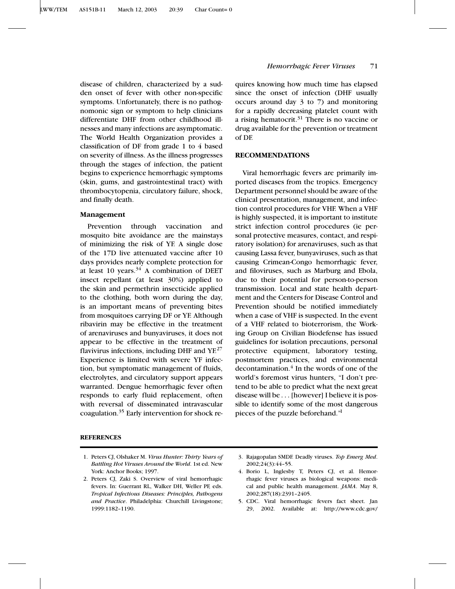## *Hemorrhagic Fever Viruses* 71

disease of children, characterized by a sudden onset of fever with other non-specific symptoms. Unfortunately, there is no pathognomonic sign or symptom to help clinicians differentiate DHF from other childhood illnesses and many infections are asymptomatic. The World Health Organization provides a classification of DF from grade 1 to 4 based on severity of illness. As the illness progresses through the stages of infection, the patient begins to experience hemorrhagic symptoms (skin, gums, and gastrointestinal tract) with thrombocytopenia, circulatory failure, shock, and finally death.

## **Management**

Prevention through vaccination and mosquito bite avoidance are the mainstays of minimizing the risk of YF. A single dose of the 17D live attenuated vaccine after 10 days provides nearly complete protection for at least 10 years. $34$  A combination of DEET insect repellant (at least 30%) applied to the skin and permethrin insecticide applied to the clothing, both worn during the day, is an important means of preventing bites from mosquitoes carrying DF or YF. Although ribavirin may be effective in the treatment of arenaviruses and bunyaviruses, it does not appear to be effective in the treatment of flavivirus infections, including DHF and  $YE^{27}$ Experience is limited with severe YF infection, but symptomatic management of fluids, electrolytes, and circulatory support appears warranted. Dengue hemorrhagic fever often responds to early fluid replacement, often with reversal of disseminated intravascular coagulation.<sup>35</sup> Early intervention for shock re-

## quires knowing how much time has elapsed since the onset of infection (DHF usually occurs around day 3 to 7) and monitoring for a rapidly decreasing platelet count with a rising hematocrit. $31$  There is no vaccine or drug available for the prevention or treatment of DF.

## **RECOMMENDATIONS**

Viral hemorrhagic fevers are primarily imported diseases from the tropics. Emergency Department personnel should be aware of the clinical presentation, management, and infection control procedures for VHF. When a VHF is highly suspected, it is important to institute strict infection control procedures (ie personal protective measures, contact, and respiratory isolation) for arenaviruses, such as that causing Lassa fever, bunyaviruses, such as that causing Crimean-Congo hemorrhagic fever, and filoviruses, such as Marburg and Ebola, due to their potential for person-to-person transmission. Local and state health department and the Centers for Disease Control and Prevention should be notified immediately when a case of VHF is suspected. In the event of a VHF related to bioterrorism, the Working Group on Civilian Biodefense has issued guidelines for isolation precautions, personal protective equipment, laboratory testing, postmortem practices, and environmental decontamination. $4$  In the words of one of the world's foremost virus hunters, "I don't pretend to be able to predict what the next great disease will be ...[however] I believe it is possible to identify some of the most dangerous pieces of the puzzle beforehand."1

## **REFERENCES**

1. Peters CJ, Olshaker M. *Virus Hunter: Thirty Years of Battling Hot Viruses Around the World*. 1st ed. New York: Anchor Books; 1997.

5. CDC. Viral hemorrhagic fevers fact sheet. Jan 29, 2002. Available at: http://www.cdc.gov/

<sup>2.</sup> Peters CJ, Zaki S. Overview of viral hemorrhagic fevers. In: Guerrant RL, Walker DH, Weller PF, eds. *Tropical Infectious Diseases: Principles, Pathogens and Practice*. Philadelphia: Churchill Livingstone; 1999:1182–1190.

<sup>3.</sup> Rajagopalan SMDF. Deadly viruses. *Top Emerg Med*. 2002;24(3):44–55.

<sup>4.</sup> Borio L, Inglesby T, Peters CJ, et al. Hemorrhagic fever viruses as biological weapons: medical and public health management. *JAMA*. May 8, 2002;287(18):2391–2405.